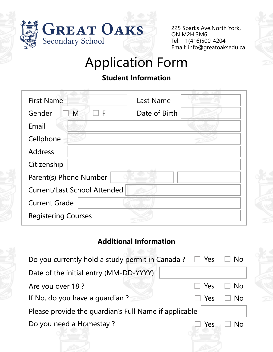

225 Sparks Ave.North York, ON M2H 3M6 Tel: +1(416)500-4204 Email: info@greatoaksedu.ca

# Application Form

# **Student Information**

| <b>First Name</b>                   | <b>Last Name</b>   |  |
|-------------------------------------|--------------------|--|
| Gender<br>M                         | Date of Birth<br>F |  |
| Email                               |                    |  |
| Cellphone                           |                    |  |
| <b>Address</b>                      |                    |  |
| Citizenship                         |                    |  |
| Parent(s) Phone Number              |                    |  |
| <b>Current/Last School Attended</b> |                    |  |
| <b>Current Grade</b>                |                    |  |
| <b>Registering Courses</b>          |                    |  |

## **Additional Information**

| Do you currently hold a study permit in Canada?<br>$\Box$ Yes |     | <b>No</b> |  |  |
|---------------------------------------------------------------|-----|-----------|--|--|
| Date of the initial entry (MM-DD-YYYY)                        |     |           |  |  |
| Are you over 18 ?                                             | Yes | No        |  |  |
| If No, do you have a quardian?                                | Yes | Nο        |  |  |
| Please provide the quardian's Full Name if applicable         |     |           |  |  |
| Do you need a Homestay?                                       | Yes | Nο        |  |  |
|                                                               |     |           |  |  |